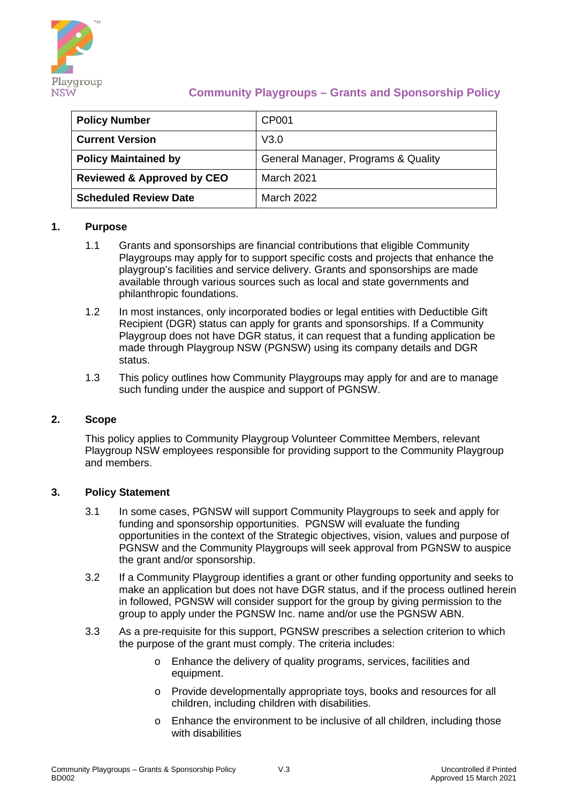

# **Community Playgroups – Grants and Sponsorship Policy**

| <b>Policy Number</b>                  | <b>CP001</b>                        |
|---------------------------------------|-------------------------------------|
| <b>Current Version</b>                | V3.0                                |
| <b>Policy Maintained by</b>           | General Manager, Programs & Quality |
| <b>Reviewed &amp; Approved by CEO</b> | March 2021                          |
| <b>Scheduled Review Date</b>          | March 2022                          |

#### **1. Purpose**

- 1.1 Grants and sponsorships are financial contributions that eligible Community Playgroups may apply for to support specific costs and projects that enhance the playgroup's facilities and service delivery. Grants and sponsorships are made available through various sources such as local and state governments and philanthropic foundations.
- 1.2 In most instances, only incorporated bodies or legal entities with Deductible Gift Recipient (DGR) status can apply for grants and sponsorships. If a Community Playgroup does not have DGR status, it can request that a funding application be made through Playgroup NSW (PGNSW) using its company details and DGR status.
- 1.3 This policy outlines how Community Playgroups may apply for and are to manage such funding under the auspice and support of PGNSW.

#### **2. Scope**

This policy applies to Community Playgroup Volunteer Committee Members, relevant Playgroup NSW employees responsible for providing support to the Community Playgroup and members.

#### **3. Policy Statement**

- 3.1 In some cases, PGNSW will support Community Playgroups to seek and apply for funding and sponsorship opportunities. PGNSW will evaluate the funding opportunities in the context of the Strategic objectives, vision, values and purpose of PGNSW and the Community Playgroups will seek approval from PGNSW to auspice the grant and/or sponsorship.
- 3.2 If a Community Playgroup identifies a grant or other funding opportunity and seeks to make an application but does not have DGR status, and if the process outlined herein in followed, PGNSW will consider support for the group by giving permission to the group to apply under the PGNSW Inc. name and/or use the PGNSW ABN.
- 3.3 As a pre-requisite for this support, PGNSW prescribes a selection criterion to which the purpose of the grant must comply. The criteria includes:
	- o Enhance the delivery of quality programs, services, facilities and equipment.
	- o Provide developmentally appropriate toys, books and resources for all children, including children with disabilities.
	- o Enhance the environment to be inclusive of all children, including those with disabilities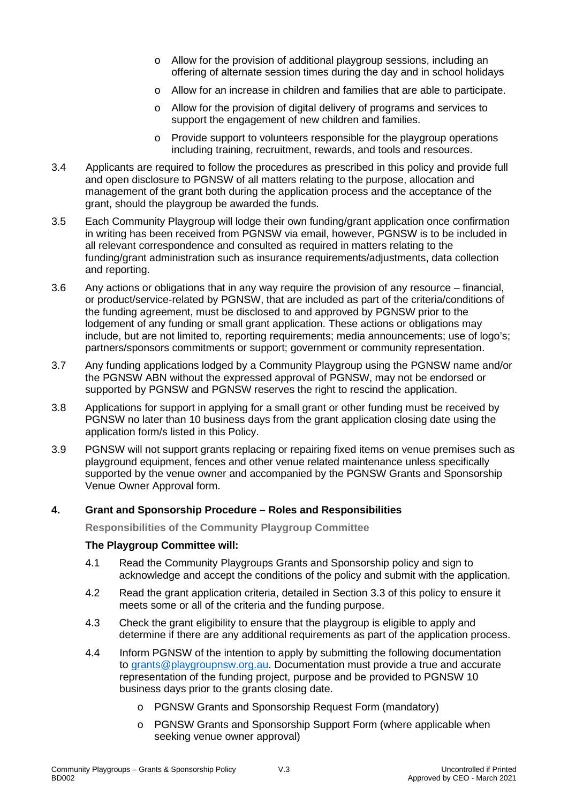- o Allow for the provision of additional playgroup sessions, including an offering of alternate session times during the day and in school holidays
- o Allow for an increase in children and families that are able to participate.
- o Allow for the provision of digital delivery of programs and services to support the engagement of new children and families.
- o Provide support to volunteers responsible for the playgroup operations including training, recruitment, rewards, and tools and resources.
- 3.4 Applicants are required to follow the procedures as prescribed in this policy and provide full and open disclosure to PGNSW of all matters relating to the purpose, allocation and management of the grant both during the application process and the acceptance of the grant, should the playgroup be awarded the funds.
- 3.5 Each Community Playgroup will lodge their own funding/grant application once confirmation in writing has been received from PGNSW via email, however, PGNSW is to be included in all relevant correspondence and consulted as required in matters relating to the funding/grant administration such as insurance requirements/adjustments, data collection and reporting.
- 3.6 Any actions or obligations that in any way require the provision of any resource financial, or product/service-related by PGNSW, that are included as part of the criteria/conditions of the funding agreement, must be disclosed to and approved by PGNSW prior to the lodgement of any funding or small grant application. These actions or obligations may include, but are not limited to, reporting requirements; media announcements; use of logo's; partners/sponsors commitments or support; government or community representation.
- 3.7 Any funding applications lodged by a Community Playgroup using the PGNSW name and/or the PGNSW ABN without the expressed approval of PGNSW, may not be endorsed or supported by PGNSW and PGNSW reserves the right to rescind the application.
- 3.8 Applications for support in applying for a small grant or other funding must be received by PGNSW no later than 10 business days from the grant application closing date using the application form/s listed in this Policy.
- 3.9 PGNSW will not support grants replacing or repairing fixed items on venue premises such as playground equipment, fences and other venue related maintenance unless specifically supported by the venue owner and accompanied by the PGNSW Grants and Sponsorship Venue Owner Approval form.

#### **4. Grant and Sponsorship Procedure – Roles and Responsibilities**

**Responsibilities of the Community Playgroup Committee** 

#### **The Playgroup Committee will:**

- 4.1 Read the Community Playgroups Grants and Sponsorship policy and sign to acknowledge and accept the conditions of the policy and submit with the application.
- 4.2 Read the grant application criteria, detailed in Section 3.3 of this policy to ensure it meets some or all of the criteria and the funding purpose.
- 4.3 Check the grant eligibility to ensure that the playgroup is eligible to apply and determine if there are any additional requirements as part of the application process.
- 4.4 Inform PGNSW of the intention to apply by submitting the following documentation to [grants@playgroupnsw.org.au.](mailto:grants@playgroupnsw.org.au) Documentation must provide a true and accurate representation of the funding project, purpose and be provided to PGNSW 10 business days prior to the grants closing date.
	- o PGNSW Grants and Sponsorship Request Form (mandatory)
	- o PGNSW Grants and Sponsorship Support Form (where applicable when seeking venue owner approval)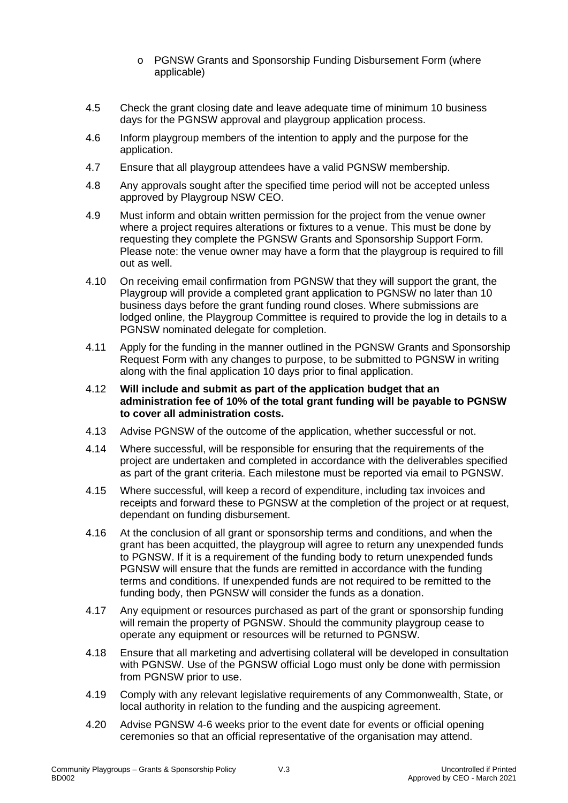- o PGNSW Grants and Sponsorship Funding Disbursement Form (where applicable)
- 4.5 Check the grant closing date and leave adequate time of minimum 10 business days for the PGNSW approval and playgroup application process.
- 4.6 Inform playgroup members of the intention to apply and the purpose for the application.
- 4.7 Ensure that all playgroup attendees have a valid PGNSW membership.
- 4.8 Any approvals sought after the specified time period will not be accepted unless approved by Playgroup NSW CEO.
- 4.9 Must inform and obtain written permission for the project from the venue owner where a project requires alterations or fixtures to a venue. This must be done by requesting they complete the PGNSW Grants and Sponsorship Support Form. Please note: the venue owner may have a form that the playgroup is required to fill out as well.
- 4.10 On receiving email confirmation from PGNSW that they will support the grant, the Playgroup will provide a completed grant application to PGNSW no later than 10 business days before the grant funding round closes. Where submissions are lodged online, the Playgroup Committee is required to provide the log in details to a PGNSW nominated delegate for completion.
- 4.11 Apply for the funding in the manner outlined in the PGNSW Grants and Sponsorship Request Form with any changes to purpose, to be submitted to PGNSW in writing along with the final application 10 days prior to final application.
- 4.12 **Will include and submit as part of the application budget that an administration fee of 10% of the total grant funding will be payable to PGNSW to cover all administration costs.**
- 4.13 Advise PGNSW of the outcome of the application, whether successful or not.
- 4.14 Where successful, will be responsible for ensuring that the requirements of the project are undertaken and completed in accordance with the deliverables specified as part of the grant criteria. Each milestone must be reported via email to PGNSW.
- 4.15 Where successful, will keep a record of expenditure, including tax invoices and receipts and forward these to PGNSW at the completion of the project or at request, dependant on funding disbursement.
- 4.16 At the conclusion of all grant or sponsorship terms and conditions, and when the grant has been acquitted, the playgroup will agree to return any unexpended funds to PGNSW. If it is a requirement of the funding body to return unexpended funds PGNSW will ensure that the funds are remitted in accordance with the funding terms and conditions. If unexpended funds are not required to be remitted to the funding body, then PGNSW will consider the funds as a donation.
- 4.17 Any equipment or resources purchased as part of the grant or sponsorship funding will remain the property of PGNSW. Should the community playgroup cease to operate any equipment or resources will be returned to PGNSW.
- 4.18 Ensure that all marketing and advertising collateral will be developed in consultation with PGNSW. Use of the PGNSW official Logo must only be done with permission from PGNSW prior to use.
- 4.19 Comply with any relevant legislative requirements of any Commonwealth, State, or local authority in relation to the funding and the auspicing agreement.
- 4.20 Advise PGNSW 4-6 weeks prior to the event date for events or official opening ceremonies so that an official representative of the organisation may attend.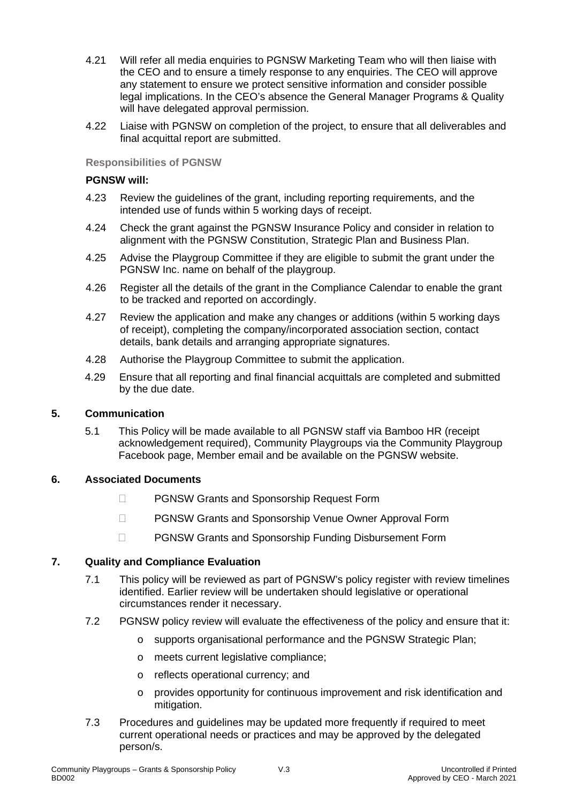- 4.21 Will refer all media enquiries to PGNSW Marketing Team who will then liaise with the CEO and to ensure a timely response to any enquiries. The CEO will approve any statement to ensure we protect sensitive information and consider possible legal implications. In the CEO's absence the General Manager Programs & Quality will have delegated approval permission.
- 4.22 Liaise with PGNSW on completion of the project, to ensure that all deliverables and final acquittal report are submitted.

## **Responsibilities of PGNSW**

## **PGNSW will:**

- 4.23 Review the guidelines of the grant, including reporting requirements, and the intended use of funds within 5 working days of receipt.
- 4.24 Check the grant against the PGNSW Insurance Policy and consider in relation to alignment with the PGNSW Constitution, Strategic Plan and Business Plan.
- 4.25 Advise the Playgroup Committee if they are eligible to submit the grant under the PGNSW Inc. name on behalf of the playgroup.
- 4.26 Register all the details of the grant in the Compliance Calendar to enable the grant to be tracked and reported on accordingly.
- 4.27 Review the application and make any changes or additions (within 5 working days of receipt), completing the company/incorporated association section, contact details, bank details and arranging appropriate signatures.
- 4.28 Authorise the Playgroup Committee to submit the application.
- 4.29 Ensure that all reporting and final financial acquittals are completed and submitted by the due date.

## **5. Communication**

5.1 This Policy will be made available to all PGNSW staff via Bamboo HR (receipt acknowledgement required), Community Playgroups via the Community Playgroup Facebook page, Member email and be available on the PGNSW website.

#### **6. Associated Documents**

- □ PGNSW Grants and Sponsorship Request Form
- □ PGNSW Grants and Sponsorship Venue Owner Approval Form
- □ PGNSW Grants and Sponsorship Funding Disbursement Form

#### **7. Quality and Compliance Evaluation**

- 7.1 This policy will be reviewed as part of PGNSW's policy register with review timelines identified. Earlier review will be undertaken should legislative or operational circumstances render it necessary.
- 7.2 PGNSW policy review will evaluate the effectiveness of the policy and ensure that it:
	- o supports organisational performance and the PGNSW Strategic Plan;
	- o meets current legislative compliance;
	- o reflects operational currency; and
	- o provides opportunity for continuous improvement and risk identification and mitigation.
- 7.3 Procedures and guidelines may be updated more frequently if required to meet current operational needs or practices and may be approved by the delegated person/s.